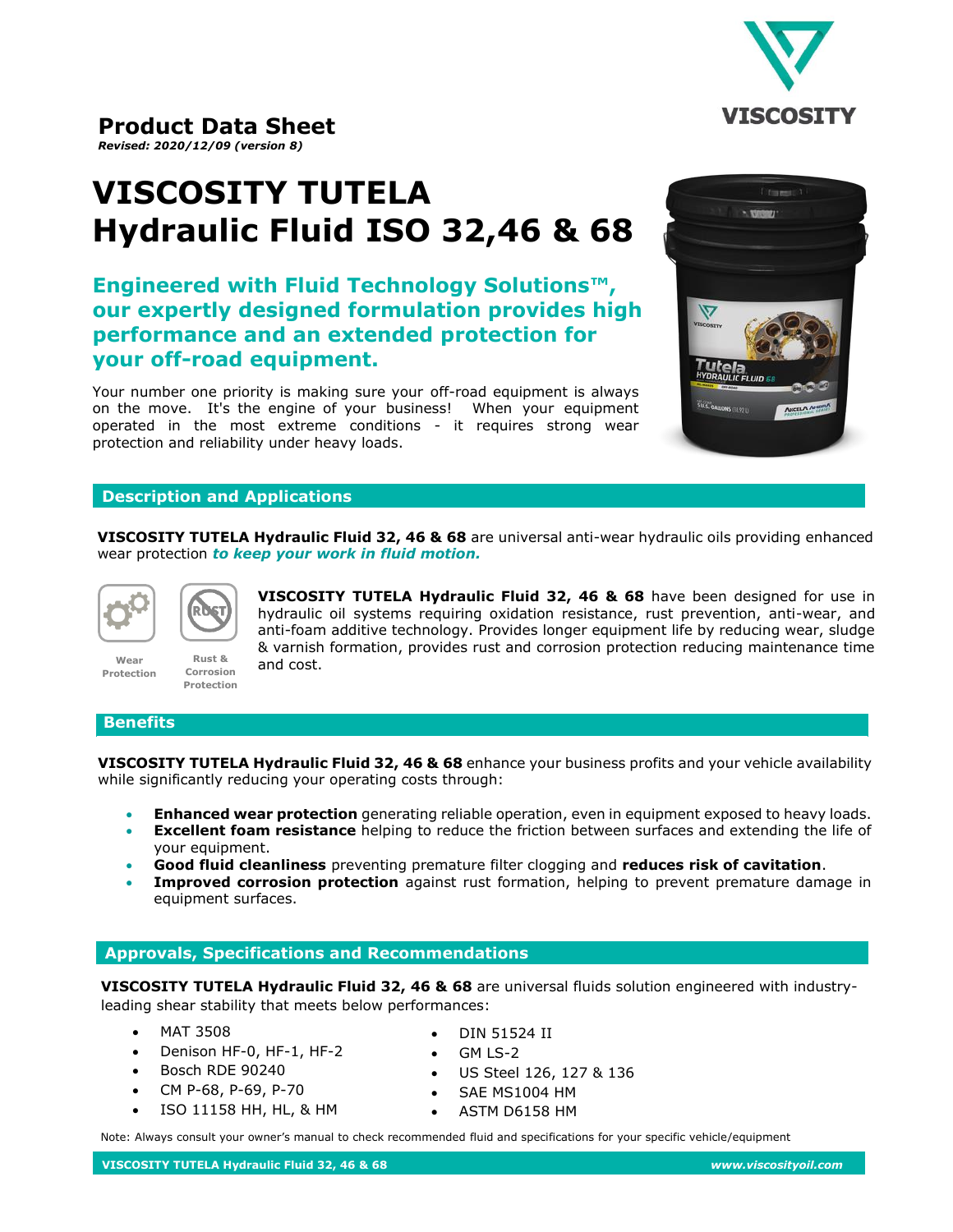

# **Product Data Sheet**

*Revised: 2020/12/09 (version 8)*

# **VISCOSITY TUTELA Hydraulic Fluid ISO 32,46 & 68**

**Engineered with Fluid Technology Solutions™, our expertly designed formulation provides high performance and an extended protection for your off-road equipment.**

Your number one priority is making sure your off-road equipment is always on the move. It's the engine of your business! When your equipment operated in the most extreme conditions - it requires strong wear protection and reliability under heavy loads.



# **Description and Applications**

**Rust &** 

**VISCOSITY TUTELA Hydraulic Fluid 32, 46 & 68** are universal anti-wear hydraulic oils providing enhanced wear protection *to keep your work in fluid motion.*



**VISCOSITY TUTELA Hydraulic Fluid 32, 46 & 68** have been designed for use in hydraulic oil systems requiring oxidation resistance, rust prevention, anti-wear, and anti-foam additive technology. Provides longer equipment life by reducing wear, sludge & varnish formation, provides rust and corrosion protection reducing maintenance time and cost. **Corrosion Protection**

#### **Benefits**

**Wear Protection**

**VISCOSITY TUTELA Hydraulic Fluid 32, 46 & 68** enhance your business profits and your vehicle availability while significantly reducing your operating costs through:

- **Enhanced wear protection** generating reliable operation, even in equipment exposed to heavy loads.
- **Excellent foam resistance** helping to reduce the friction between surfaces and extending the life of your equipment.
- **Good fluid cleanliness** preventing premature filter clogging and **reduces risk of cavitation**.
- **Improved corrosion protection** against rust formation, helping to prevent premature damage in equipment surfaces.

### **Approvals, Specifications and Recommendations**

**VISCOSITY TUTELA Hydraulic Fluid 32, 46 & 68** are universal fluids solution engineered with industryleading shear stability that meets below performances:

- MAT 3508
- Denison HF-0, HF-1, HF-2
- Bosch RDE 90240
- CM P-68, P-69, P-70
- ISO 11158 HH, HL, & HM
- DIN 51524 II
- GM LS-2
- US Steel 126, 127 & 136
- SAE MS1004 HM
- ASTM D6158 HM

Note: Always consult your owner's manual to check recommended fluid and specifications for your specific vehicle/equipment